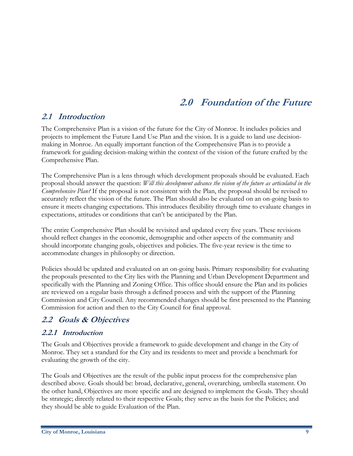# **2.0 Foundation of the Future**

# **2.1 Introduction**

The Comprehensive Plan is a vision of the future for the City of Monroe. It includes policies and projects to implement the Future Land Use Plan and the vision. It is a guide to land use decisionmaking in Monroe. An equally important function of the Comprehensive Plan is to provide a framework for guiding decision-making within the context of the vision of the future crafted by the Comprehensive Plan.

The Comprehensive Plan is a lens through which development proposals should be evaluated. Each proposal should answer the question: *Will this development advance the vision of the future as articulated in the Comprehensive Plan?* If the proposal is not consistent with the Plan, the proposal should be revised to accurately reflect the vision of the future. The Plan should also be evaluated on an on-going basis to ensure it meets changing expectations. This introduces flexibility through time to evaluate changes in expectations, attitudes or conditions that can't be anticipated by the Plan.

The entire Comprehensive Plan should be revisited and updated every five years. These revisions should reflect changes in the economic, demographic and other aspects of the community and should incorporate changing goals, objectives and policies. The five-year review is the time to accommodate changes in philosophy or direction.

Policies should be updated and evaluated on an on-going basis. Primary responsibility for evaluating the proposals presented to the City lies with the Planning and Urban Development Department and specifically with the Planning and Zoning Office. This office should ensure the Plan and its policies are reviewed on a regular basis through a defined process and with the support of the Planning Commission and City Council. Any recommended changes should be first presented to the Planning Commission for action and then to the City Council for final approval.

# **2.2 Goals & Objectives**

### **2.2.1 Introduction**

The Goals and Objectives provide a framework to guide development and change in the City of Monroe. They set a standard for the City and its residents to meet and provide a benchmark for evaluating the growth of the city.

The Goals and Objectives are the result of the public input process for the comprehensive plan described above. Goals should be: broad, declarative, general, overarching, umbrella statement. On the other hand, Objectives are more specific and are designed to implement the Goals. They should be strategic; directly related to their respective Goals; they serve as the basis for the Policies; and they should be able to guide Evaluation of the Plan.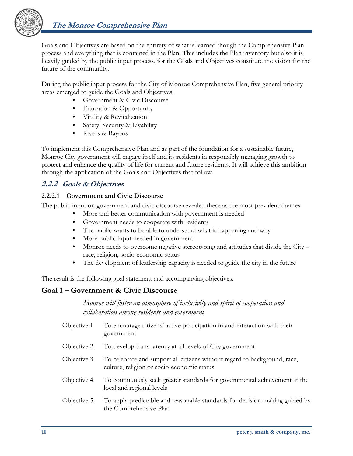

Goals and Objectives are based on the entirety of what is learned though the Comprehensive Plan process and everything that is contained in the Plan. This includes the Plan inventory but also it is heavily guided by the public input process, for the Goals and Objectives constitute the vision for the future of the community.

During the public input process for the City of Monroe Comprehensive Plan, five general priority areas emerged to guide the Goals and Objectives:

- Government & Civic Discourse
- **Education & Opportunity**
- Vitality & Revitalization
- Safety, Security & Livability
- Rivers & Bayous

To implement this Comprehensive Plan and as part of the foundation for a sustainable future, Monroe City government will engage itself and its residents in responsibly managing growth to protect and enhance the quality of life for current and future residents. It will achieve this ambition through the application of the Goals and Objectives that follow.

## **2.2.2 Goals & Objectives**

#### **2.2.2.1 Government and Civic Discourse**

The public input on government and civic discourse revealed these as the most prevalent themes:

- More and better communication with government is needed
- Government needs to cooperate with residents
- The public wants to be able to understand what is happening and why
- More public input needed in government
- Monroe needs to overcome negative stereotyping and attitudes that divide the City race, religion, socio-economic status
- The development of leadership capacity is needed to guide the city in the future

The result is the following goal statement and accompanying objectives.

the Comprehensive Plan

# **Goal 1 – Government & Civic Discourse**

*Monroe will foster an atmosphere of inclusivity and spirit of cooperation and collaboration among residents and government* 

Objective 1. To encourage citizens' active participation in and interaction with their government Objective 2. To develop transparency at all levels of City government Objective 3. To celebrate and support all citizens without regard to background, race, culture, religion or socio-economic status Objective 4. To continuously seek greater standards for governmental achievement at the local and regional levels Objective 5. To apply predictable and reasonable standards for decision-making guided by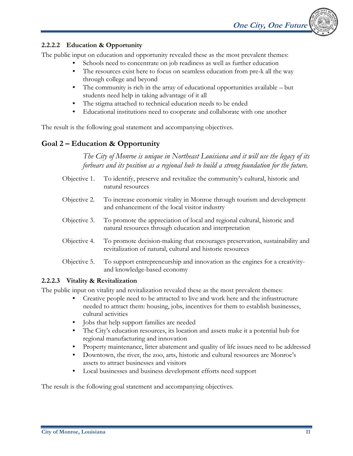#### **2.2.2.2 Education & Opportunity**

The public input on education and opportunity revealed these as the most prevalent themes:

- Schools need to concentrate on job readiness as well as further education
- The resources exist here to focus on seamless education from pre-k all the way through college and beyond
- The community is rich in the array of educational opportunities available but students need help in taking advantage of it all
- The stigma attached to technical education needs to be ended
- Educational institutions need to cooperate and collaborate with one another

The result is the following goal statement and accompanying objectives.

# **Goal 2 – Education & Opportunity**

*The City of Monroe is unique in Northeast Louisiana and it will use the legacy of its forbears and its position as a regional hub to build a strong foundation for the future.* 

- Objective 1. To identify, preserve and revitalize the community's cultural, historic and natural resources
- Objective 2. To increase economic vitality in Monroe through tourism and development and enhancement of the local visitor industry
- Objective 3. To promote the appreciation of local and regional cultural, historic and natural resources through education and interpretation
- Objective 4. To promote decision-making that encourages preservation, sustainability and revitalization of natural, cultural and historic resources
- Objective 5. To support entrepreneurship and innovation as the engines for a creativityand knowledge-based economy

#### **2.2.2.3 Vitality & Revitalization**

The public input on vitality and revitalization revealed these as the most prevalent themes:

- Creative people need to be attracted to live and work here and the infrastructure needed to attract them: housing, jobs, incentives for them to establish businesses, cultural activities
- Jobs that help support families are needed
- The City's education resources, its location and assets make it a potential hub for regional manufacturing and innovation
- Property maintenance, litter abatement and quality of life issues need to be addressed
- Downtown, the river, the zoo, arts, historic and cultural resources are Monroe's assets to attract businesses and visitors
- Local businesses and business development efforts need support

The result is the following goal statement and accompanying objectives.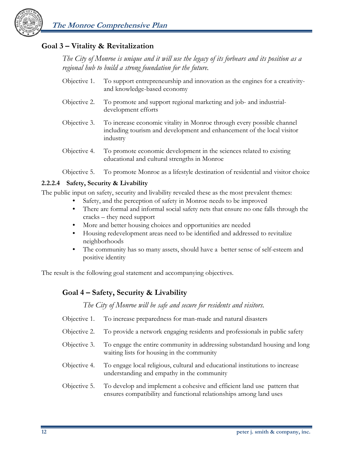

## **Goal 3 – Vitality & Revitalization**

*The City of Monroe is unique and it will use the legacy of its forbears and its position as a regional hub to build a strong foundation for the future.* 

- Objective 1. To support entrepreneurship and innovation as the engines for a creativityand knowledge-based economy
- Objective 2. To promote and support regional marketing and job- and industrialdevelopment efforts
- Objective 3. To increase economic vitality in Monroe through every possible channel including tourism and development and enhancement of the local visitor industry
- Objective 4. To promote economic development in the sciences related to existing educational and cultural strengths in Monroe
- Objective 5. To promote Monroe as a lifestyle destination of residential and visitor choice

#### **2.2.2.4 Safety, Security & Livability**

The public input on safety, security and livability revealed these as the most prevalent themes:

- Safety, and the perception of safety in Monroe needs to be improved
- There are formal and informal social safety nets that ensure no one falls through the cracks – they need support
- More and better housing choices and opportunities are needed
- Housing redevelopment areas need to be identified and addressed to revitalize neighborhoods
- The community has so many assets, should have a better sense of self-esteem and positive identity

The result is the following goal statement and accompanying objectives.

# **Goal 4 – Safety, Security & Livability**

*The City of Monroe will be safe and secure for residents and visitors.* 

- Objective 1. To increase preparedness for man-made and natural disasters
- Objective 2. To provide a network engaging residents and professionals in public safety
- Objective 3. To engage the entire community in addressing substandard housing and long waiting lists for housing in the community
- Objective 4. To engage local religious, cultural and educational institutions to increase understanding and empathy in the community
- Objective 5. To develop and implement a cohesive and efficient land use pattern that ensures compatibility and functional relationships among land uses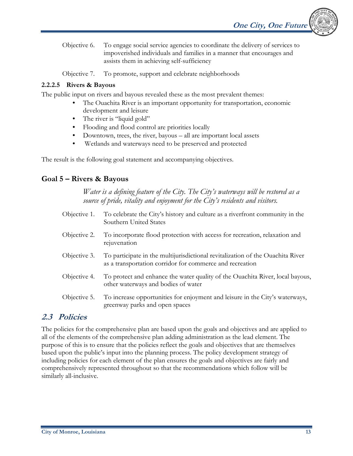**One City, One Future** 

Objective 6. To engage social service agencies to coordinate the delivery of services to impoverished individuals and families in a manner that encourages and assists them in achieving self-sufficiency

Objective 7. To promote, support and celebrate neighborhoods

#### **2.2.2.5 Rivers & Bayous**

The public input on rivers and bayous revealed these as the most prevalent themes:

- The Ouachita River is an important opportunity for transportation, economic development and leisure
- The river is "liquid gold"
- Flooding and flood control are priorities locally
- Downtown, trees, the river, bayous all are important local assets
- Wetlands and waterways need to be preserved and protected

The result is the following goal statement and accompanying objectives.

#### **Goal 5 – Rivers & Bayous**

*Water is a defining feature of the City. The City's waterways will be restored as a source of pride, vitality and enjoyment for the City's residents and visitors.* 

- Objective 1. To celebrate the City's history and culture as a riverfront community in the Southern United States
- Objective 2. To incorporate flood protection with access for recreation, relaxation and rejuvenation
- Objective 3. To participate in the multijurisdictional revitalization of the Ouachita River as a transportation corridor for commerce and recreation
- Objective 4. To protect and enhance the water quality of the Ouachita River, local bayous, other waterways and bodies of water
- Objective 5. To increase opportunities for enjoyment and leisure in the City's waterways, greenway parks and open spaces

# **2.3 Policies**

The policies for the comprehensive plan are based upon the goals and objectives and are applied to all of the elements of the comprehensive plan adding administration as the lead element. The purpose of this is to ensure that the policies reflect the goals and objectives that are themselves based upon the public's input into the planning process. The policy development strategy of including policies for each element of the plan ensures the goals and objectives are fairly and comprehensively represented throughout so that the recommendations which follow will be similarly all-inclusive.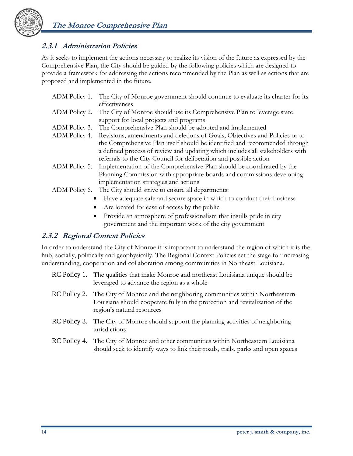

## **2.3.1 Administration Policies**

As it seeks to implement the actions necessary to realize its vision of the future as expressed by the Comprehensive Plan, the City should be guided by the following policies which are designed to provide a framework for addressing the actions recommended by the Plan as well as actions that are proposed and implemented in the future.

| ADM Policy 1. | The City of Monroe government should continue to evaluate its charter for its |
|---------------|-------------------------------------------------------------------------------|
|               | effectiveness                                                                 |
| ADM Policy 2. | The City of Monroe should use its Comprehensive Plan to leverage state        |
|               | support for local projects and programs                                       |
| ADM Policy 3. | The Comprehensive Plan should be adopted and implemented                      |
| ADM Policy 4. | Revisions, amendments and deletions of Goals, Objectives and Policies or to   |
|               | the Comprehensive Plan itself should be identified and recommended through    |
|               | a defined process of review and updating which includes all stakeholders with |
|               | referrals to the City Council for deliberation and possible action            |
| ADM Policy 5. | Implementation of the Comprehensive Plan should be coordinated by the         |
|               | Planning Commission with appropriate boards and commissions developing        |
|               | implementation strategies and actions                                         |
| ADM Policy 6. | The City should strive to ensure all departments:                             |
|               | Have adequate safe and secure space in which to conduct their business        |

- Are located for ease of access by the public
- Provide an atmosphere of professionalism that instills pride in city government and the important work of the city government

### **2.3.2 Regional Context Policies**

In order to understand the City of Monroe it is important to understand the region of which it is the hub, socially, politically and geophysically. The Regional Context Policies set the stage for increasing understanding, cooperation and collaboration among communities in Northeast Louisiana.

- RC Policy 1. The qualities that make Monroe and northeast Louisiana unique should be leveraged to advance the region as a whole
- RC Policy 2. The City of Monroe and the neighboring communities within Northeastern Louisiana should cooperate fully in the protection and revitalization of the region's natural resources
- RC Policy 3. The City of Monroe should support the planning activities of neighboring jurisdictions
- RC Policy 4. The City of Monroe and other communities within Northeastern Louisiana should seek to identify ways to link their roads, trails, parks and open spaces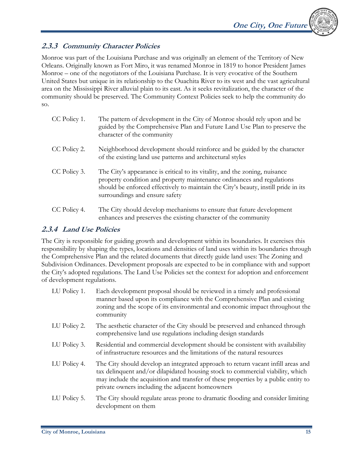# **2.3.3 Community Character Policies**

Monroe was part of the Louisiana Purchase and was originally an element of the Territory of New Orleans. Originally known as Fort Miro, it was renamed Monroe in 1819 to honor President James Monroe – one of the negotiators of the Louisiana Purchase. It is very evocative of the Southern United States but unique in its relationship to the Ouachita River to its west and the vast agricultural area on the Mississippi River alluvial plain to its east. As it seeks revitalization, the character of the community should be preserved. The Community Context Policies seek to help the community do so.

| CC Policy 1. | The pattern of development in the City of Monroe should rely upon and be<br>guided by the Comprehensive Plan and Future Land Use Plan to preserve the<br>character of the community                                                                                           |
|--------------|-------------------------------------------------------------------------------------------------------------------------------------------------------------------------------------------------------------------------------------------------------------------------------|
| CC Policy 2. | Neighborhood development should reinforce and be guided by the character<br>of the existing land use patterns and architectural styles                                                                                                                                        |
| CC Policy 3. | The City's appearance is critical to its vitality, and the zoning, nuisance<br>property condition and property maintenance ordinances and regulations<br>should be enforced effectively to maintain the City's beauty, instill pride in its<br>surroundings and ensure safety |
| CC Policy 4. | The City should develop mechanisms to ensure that future development<br>enhances and preserves the existing character of the community                                                                                                                                        |

# **2.3.4 Land Use Policies**

The City is responsible for guiding growth and development within its boundaries. It exercises this responsibility by shaping the types, locations and densities of land uses within its boundaries through the Comprehensive Plan and the related documents that directly guide land uses: The Zoning and Subdivision Ordinances. Development proposals are expected to be in compliance with and support the City's adopted regulations. The Land Use Policies set the context for adoption and enforcement of development regulations.

| LU Policy 1. | Each development proposal should be reviewed in a timely and professional<br>manner based upon its compliance with the Comprehensive Plan and existing<br>zoning and the scope of its environmental and economic impact throughout the<br>community                                                          |
|--------------|--------------------------------------------------------------------------------------------------------------------------------------------------------------------------------------------------------------------------------------------------------------------------------------------------------------|
| LU Policy 2. | The aesthetic character of the City should be preserved and enhanced through<br>comprehensive land use regulations including design standards                                                                                                                                                                |
| LU Policy 3. | Residential and commercial development should be consistent with availability<br>of infrastructure resources and the limitations of the natural resources                                                                                                                                                    |
| LU Policy 4. | The City should develop an integrated approach to return vacant infill areas and<br>tax delinquent and/or dilapidated housing stock to commercial viability, which<br>may include the acquisition and transfer of these properties by a public entity to<br>private owners including the adjacent homeowners |
| LU Policy 5. | The City should regulate areas prone to dramatic flooding and consider limiting<br>development on them                                                                                                                                                                                                       |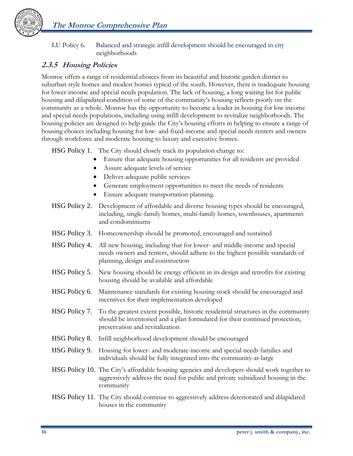

LU Policy 6. Balanced and strategic infill development should be encouraged in city neighborhoods

# **2.3.5 Housing Policies**

Monroe offers a range of residential choices from its beautiful and historic garden district to suburban style homes and modest homes typical of the south. However, there is inadequate housing for lower-income and special needs population. The lack of housing, a long waiting list for public housing and dilapidated condition of some of the community's housing reflects poorly on the community as a whole. Monroe has the opportunity to become a leader in housing for low income and special needs populations, including using infill development to revitalize neighborhoods. The housing policies are designed to help guide the City's housing efforts in helping to ensure a range of housing choices including housing for low- and fixed-income and special needs renters and owners through workforce and moderate housing to luxury and executive homes.

HSG Policy 1. The City should closely track its population change to:

- Ensure that adequate housing opportunities for all residents are provided
- Assure adequate levels of service
- Deliver adequate public services
- Generate employment opportunities to meet the needs of residents
- Ensure adequate transportation planning.
- HSG Policy 2. Development of affordable and diverse housing types should be encouraged, including, single-family homes, multi-family homes, townhouses, apartments and condominiums
- HSG Policy 3. Homeownership should be promoted, encouraged and sustained
- HSG Policy 4. All new housing, including that for lower- and middle-income and special needs owners and renters, should adhere to the highest possible standards of planning, design and construction
- HSG Policy 5. New housing should be energy efficient in its design and retrofits for existing housing should be available and affordable
- HSG Policy 6. Maintenance standards for existing housing stock should be encouraged and incentives for their implementation developed
- HSG Policy 7. To the greatest extent possible, historic residential structures in the community should be inventoried and a plan formulated for their continued protection, preservation and revitalization
- HSG Policy 8. Infill neighborhood development should be encouraged
- HSG Policy 9. Housing for lower- and moderate-income and special needs families and individuals should be fully integrated into the community-at-large
- HSG Policy 10. The City's affordable housing agencies and developers should work together to aggressively address the need for public and private subsidized housing in the community
- HSG Policy 11. The City should continue to aggressively address deteriorated and dilapidated houses in the community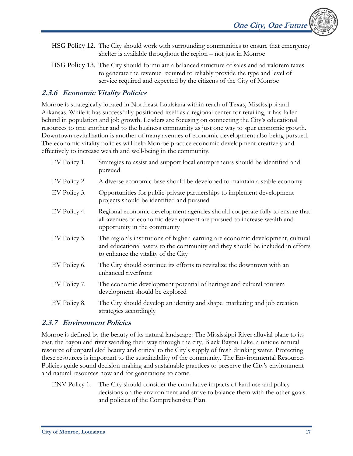- HSG Policy 12. The City should work with surrounding communities to ensure that emergency shelter is available throughout the region – not just in Monroe
- HSG Policy 13. The City should formulate a balanced structure of sales and ad valorem taxes to generate the revenue required to reliably provide the type and level of service required and expected by the citizens of the City of Monroe

## **2.3.6 Economic Vitality Policies**

Monroe is strategically located in Northeast Louisiana within reach of Texas, Mississippi and Arkansas. While it has successfully positioned itself as a regional center for retailing, it has fallen behind in population and job growth. Leaders are focusing on connecting the City's educational resources to one another and to the business community as just one way to spur economic growth. Downtown revitalization is another of many avenues of economic development also being pursued. The economic vitality policies will help Monroe practice economic development creatively and effectively to increase wealth and well-being in the community.

| EV Policy 1. | Strategies to assist and support local entrepreneurs should be identified and<br>pursued                                                                                                                 |
|--------------|----------------------------------------------------------------------------------------------------------------------------------------------------------------------------------------------------------|
| EV Policy 2. | A diverse economic base should be developed to maintain a stable economy                                                                                                                                 |
| EV Policy 3. | Opportunities for public-private partnerships to implement development<br>projects should be identified and pursued                                                                                      |
| EV Policy 4. | Regional economic development agencies should cooperate fully to ensure that<br>all avenues of economic development are pursued to increase wealth and<br>opportunity in the community                   |
| EV Policy 5. | The region's institutions of higher learning are economic development, cultural<br>and educational assets to the community and they should be included in efforts<br>to enhance the vitality of the City |
| EV Policy 6. | The City should continue its efforts to revitalize the downtown with an<br>enhanced riverfront                                                                                                           |
| EV Policy 7. | The economic development potential of heritage and cultural tourism<br>development should be explored                                                                                                    |
| EV Policy 8. | The City should develop an identity and shape marketing and job creation<br>strategies accordingly                                                                                                       |

### **2.3.7 Environment Policies**

Monroe is defined by the beauty of its natural landscape: The Mississippi River alluvial plane to its east, the bayou and river wending their way through the city, Black Bayou Lake, a unique natural resource of unparalleled beauty and critical to the City's supply of fresh drinking water. Protecting these resources is important to the sustainability of the community. The Environmental Resources Policies guide sound decision-making and sustainable practices to preserve the City's environment and natural resources now and for generations to come.

ENV Policy 1. The City should consider the cumulative impacts of land use and policy decisions on the environment and strive to balance them with the other goals and policies of the Comprehensive Plan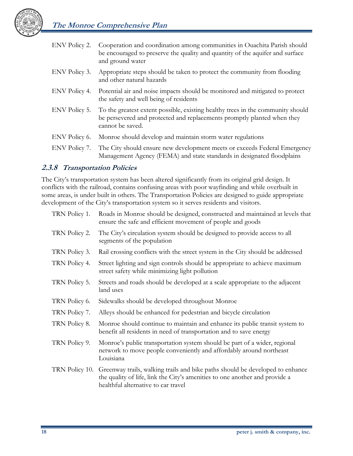

| ENV Policy 2. | Cooperation and coordination among communities in Ouachita Parish should<br>be encouraged to preserve the quality and quantity of the aquifer and surface<br>and ground water  |
|---------------|--------------------------------------------------------------------------------------------------------------------------------------------------------------------------------|
| ENV Policy 3. | Appropriate steps should be taken to protect the community from flooding<br>and other natural hazards                                                                          |
| ENV Policy 4. | Potential air and noise impacts should be monitored and mitigated to protect<br>the safety and well being of residents                                                         |
| ENV Policy 5. | To the greatest extent possible, existing healthy trees in the community should<br>be persevered and protected and replacements promptly planted when they<br>cannot be saved. |
| ENV Policy 6. | Monroe should develop and maintain storm water regulations                                                                                                                     |
| ENV Policy 7. | The City should ensure new development meets or exceeds Federal Emergency<br>Management Agency (FEMA) and state standards in designated floodplains                            |

### **2.3.8 Transportation Policies**

The City's transportation system has been altered significantly from its original grid design. It conflicts with the railroad, contains confusing areas with poor wayfinding and while overbuilt in some areas, is under built in others. The Transportation Policies are designed to guide appropriate development of the City's transportation system so it serves residents and visitors.

| TRN Policy 1.  | Roads in Monroe should be designed, constructed and maintained at levels that<br>ensure the safe and efficient movement of people and goods                                                         |
|----------------|-----------------------------------------------------------------------------------------------------------------------------------------------------------------------------------------------------|
| TRN Policy 2.  | The City's circulation system should be designed to provide access to all<br>segments of the population                                                                                             |
| TRN Policy 3.  | Rail crossing conflicts with the street system in the City should be addressed                                                                                                                      |
| TRN Policy 4.  | Street lighting and sign controls should be appropriate to achieve maximum<br>street safety while minimizing light pollution                                                                        |
| TRN Policy 5.  | Streets and roads should be developed at a scale appropriate to the adjacent<br>land uses                                                                                                           |
| TRN Policy 6.  | Sidewalks should be developed throughout Monroe                                                                                                                                                     |
| TRN Policy 7.  | Alleys should be enhanced for pedestrian and bicycle circulation                                                                                                                                    |
| TRN Policy 8.  | Monroe should continue to maintain and enhance its public transit system to<br>benefit all residents in need of transportation and to save energy                                                   |
| TRN Policy 9.  | Monroe's public transportation system should be part of a wider, regional<br>network to move people conveniently and affordably around northeast<br>Louisiana                                       |
| TRN Policy 10. | Greenway trails, walking trails and bike paths should be developed to enhance<br>the quality of life, link the City's amenities to one another and provide a<br>healthful alternative to car travel |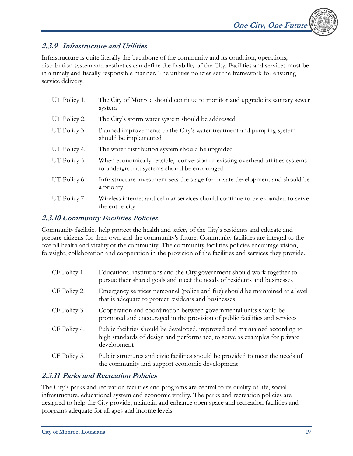

## **2.3.9 Infrastructure and Utilities**

Infrastructure is quite literally the backbone of the community and its condition, operations, distribution system and aesthetics can define the livability of the City. Facilities and services must be in a timely and fiscally responsible manner. The utilities policies set the framework for ensuring service delivery.

| UT Policy 1. | The City of Monroe should continue to monitor and upgrade its sanitary sewer<br>system                                       |
|--------------|------------------------------------------------------------------------------------------------------------------------------|
| UT Policy 2. | The City's storm water system should be addressed                                                                            |
| UT Policy 3. | Planned improvements to the City's water treatment and pumping system<br>should be implemented                               |
| UT Policy 4. | The water distribution system should be upgraded                                                                             |
| UT Policy 5. | When economically feasible, conversion of existing overhead utilities systems<br>to underground systems should be encouraged |
| UT Policy 6. | Infrastructure investment sets the stage for private development and should be<br>a priority                                 |
| UT Policy 7. | Wireless internet and cellular services should continue to be expanded to serve<br>the entire city                           |

## **2.3.10 Community Facilities Policies**

Community facilities help protect the health and safety of the City's residents and educate and prepare citizens for their own and the community's future. Community facilities are integral to the overall health and vitality of the community. The community facilities policies encourage vision, foresight, collaboration and cooperation in the provision of the facilities and services they provide.

| CF Policy 1. | Educational institutions and the City government should work together to<br>pursue their shared goals and meet the needs of residents and businesses                     |
|--------------|--------------------------------------------------------------------------------------------------------------------------------------------------------------------------|
| CF Policy 2. | Emergency services personnel (police and fire) should be maintained at a level<br>that is adequate to protect residents and businesses                                   |
| CF Policy 3. | Cooperation and coordination between governmental units should be<br>promoted and encouraged in the provision of public facilities and services                          |
| CF Policy 4. | Public facilities should be developed, improved and maintained according to<br>high standards of design and performance, to serve as examples for private<br>development |
| CF Policy 5. | Public structures and civic facilities should be provided to meet the needs of<br>the community and support economic development                                         |

# **2.3.11 Parks and Recreation Policies**

The City's parks and recreation facilities and programs are central to its quality of life, social infrastructure, educational system and economic vitality. The parks and recreation policies are designed to help the City provide, maintain and enhance open space and recreation facilities and programs adequate for all ages and income levels.